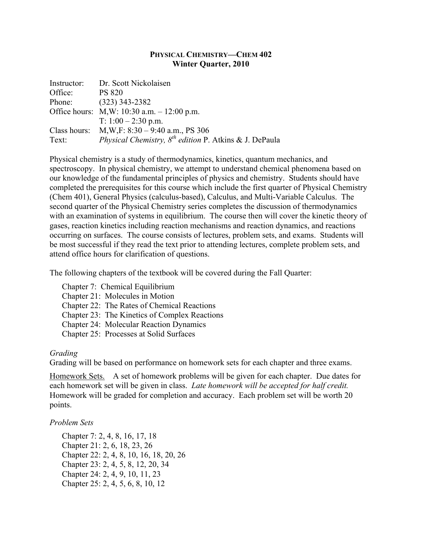## **PHYSICAL CHEMISTRY—CHEM 402 Winter Quarter, 2010**

|         | Instructor: Dr. Scott Nickolaisen                                                 |
|---------|-----------------------------------------------------------------------------------|
| Office: | <b>PS 820</b>                                                                     |
|         | Phone: (323) 343-2382                                                             |
|         | Office hours: M, W: 10:30 a.m. $- 12:00$ p.m.                                     |
|         | T: $1:00 - 2:30$ p.m.                                                             |
|         | Class hours: $M, W, F: 8:30 - 9:40$ a.m., PS 306                                  |
| Text:   | <i>Physical Chemistry, <math>8^{th}</math> edition P. Atkins &amp; J. DePaula</i> |

Physical chemistry is a study of thermodynamics, kinetics, quantum mechanics, and spectroscopy. In physical chemistry, we attempt to understand chemical phenomena based on our knowledge of the fundamental principles of physics and chemistry. Students should have completed the prerequisites for this course which include the first quarter of Physical Chemistry (Chem 401), General Physics (calculus-based), Calculus, and Multi-Variable Calculus. The second quarter of the Physical Chemistry series completes the discussion of thermodynamics with an examination of systems in equilibrium. The course then will cover the kinetic theory of gases, reaction kinetics including reaction mechanisms and reaction dynamics, and reactions occurring on surfaces. The course consists of lectures, problem sets, and exams. Students will be most successful if they read the text prior to attending lectures, complete problem sets, and attend office hours for clarification of questions.

The following chapters of the textbook will be covered during the Fall Quarter:

Chapter 7: Chemical Equilibrium

Chapter 21: Molecules in Motion

Chapter 22: The Rates of Chemical Reactions

Chapter 23: The Kinetics of Complex Reactions

Chapter 24: Molecular Reaction Dynamics

Chapter 25: Processes at Solid Surfaces

## *Grading*

Grading will be based on performance on homework sets for each chapter and three exams.

Homework Sets. A set of homework problems will be given for each chapter. Due dates for each homework set will be given in class. *Late homework will be accepted for half credit.* Homework will be graded for completion and accuracy. Each problem set will be worth 20 points.

## *Problem Sets*

Chapter 7: 2, 4, 8, 16, 17, 18 Chapter 21: 2, 6, 18, 23, 26 Chapter 22: 2, 4, 8, 10, 16, 18, 20, 26 Chapter 23: 2, 4, 5, 8, 12, 20, 34 Chapter 24: 2, 4, 9, 10, 11, 23 Chapter 25: 2, 4, 5, 6, 8, 10, 12